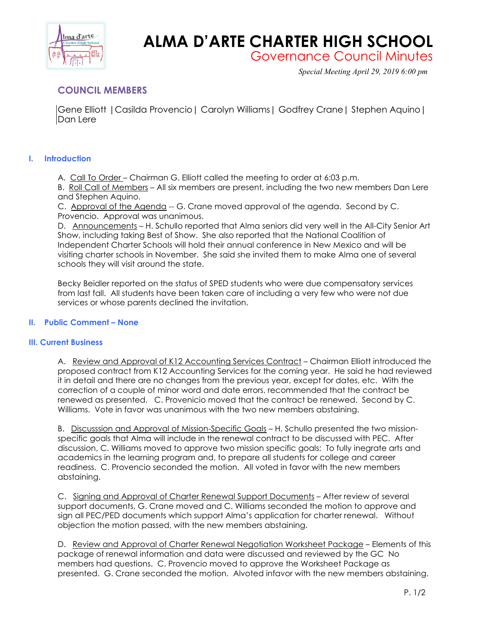

# **ALMA D'ARTE CHARTER HIGH SCHOOL**

Governance Council Minutes

*Special Meeting April 29, 2019 6:00 pm*

# **COUNCIL MEMBERS**

Gene Elliott |Casilda Provencio| Carolyn Williams| Godfrey Crane| Stephen Aquino| Dan Lere

## **I. Introduction**

A. Call To Order – Chairman G. Elliott called the meeting to order at 6:03 p.m.

B. Roll Call of Members – All six members are present, including the two new members Dan Lere and Stephen Aquino.

C. Approval of the Agenda -- G. Crane moved approval of the agenda. Second by C. Provencio. Approval was unanimous.

D. Announcements – H. Schullo reported that Alma seniors did very well in the All-City Senior Art Show, including taking Best of Show. She also reported that the National Coalition of Independent Charter Schools will hold their annual conference in New Mexico and will be visiting charter schools in November. She said she invited them to make Alma one of several schools they will visit around the state.

Becky Beidler reported on the status of SPED students who were due compensatory services from last fall. All students have been taken care of including a very few who were not due services or whose parents declined the invitation.

### **II. Public Comment – None**

### **III. Current Business**

A. Review and Approval of K12 Accounting Services Contract – Chairman Elliott introduced the proposed contract from K12 Accounting Services for the coming year. He said he had reviewed it in detail and there are no changes from the previous year, except for dates, etc. With the correction of a couple of minor word and date errors, recommended that the contract be renewed as presented. C. Provenicio moved that the contract be renewed. Second by C. Williams. Vote in favor was unanimous with the two new members abstaining.

B. Discusssion and Approval of Mission-Specific Goals – H. Schullo presented the two missionspecific goals that Alma will include in the renewal contract to be discussed with PEC. After discussion, C. Williams moved to approve two mission specific goals: To fully inegrate arts and academics in the learning program and, to prepare all students for college and career readiness. C. Provencio seconded the motion. All voted in favor with the new members abstaining.

C. Signing and Approval of Charter Renewal Support Documents – After review of several support documents, G. Crane moved and C. Williams seconded the motion to approve and sign all PEC/PED documents which support Alma's application for charter renewal. Without objection the motion passed, with the new members abstaining.

D. Review and Approval of Charter Renewal Negotiation Worksheet Package – Elements of this package of renewal information and data were discussed and reviewed by the GC No members had questions. C. Provencio moved to approve the Worksheet Package as presented. G. Crane seconded the motion. Alvoted infavor with the new members abstaining.